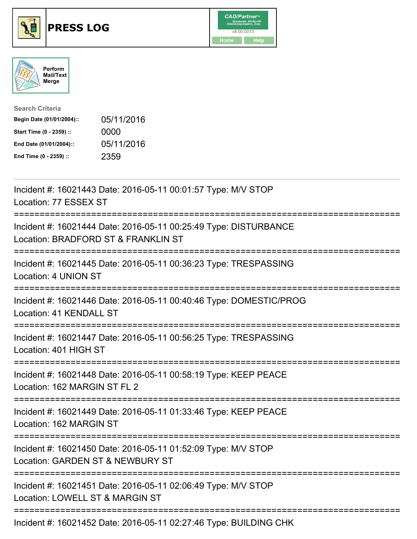





| <b>Search Criteria</b>    |            |
|---------------------------|------------|
| Begin Date (01/01/2004):: | 05/11/2016 |
| Start Time (0 - 2359) ::  | 0000       |
| End Date (01/01/2004)::   | 05/11/2016 |
| End Time (0 - 2359) ::    | 2359       |

| Incident #: 16021443 Date: 2016-05-11 00:01:57 Type: M/V STOP<br>Location: 77 ESSEX ST                                               |
|--------------------------------------------------------------------------------------------------------------------------------------|
| Incident #: 16021444 Date: 2016-05-11 00:25:49 Type: DISTURBANCE<br>Location: BRADFORD ST & FRANKLIN ST                              |
| Incident #: 16021445 Date: 2016-05-11 00:36:23 Type: TRESPASSING<br>Location: 4 UNION ST<br>======================                   |
| Incident #: 16021446 Date: 2016-05-11 00:40:46 Type: DOMESTIC/PROG<br>Location: 41 KENDALL ST<br>------------------------            |
| Incident #: 16021447 Date: 2016-05-11 00:56:25 Type: TRESPASSING<br>Location: 401 HIGH ST<br>:=====================================  |
| Incident #: 16021448 Date: 2016-05-11 00:58:19 Type: KEEP PEACE<br>Location: 162 MARGIN ST FL 2                                      |
| Incident #: 16021449 Date: 2016-05-11 01:33:46 Type: KEEP PEACE<br>Location: 162 MARGIN ST<br>;===================================== |
| Incident #: 16021450 Date: 2016-05-11 01:52:09 Type: M/V STOP<br>Location: GARDEN ST & NEWBURY ST                                    |
| Incident #: 16021451 Date: 2016-05-11 02:06:49 Type: M/V STOP<br>Location: LOWELL ST & MARGIN ST<br>------------------------         |
| Incident #: 16021452 Date: 2016-05-11 02:27:46 Type: BUILDING CHK                                                                    |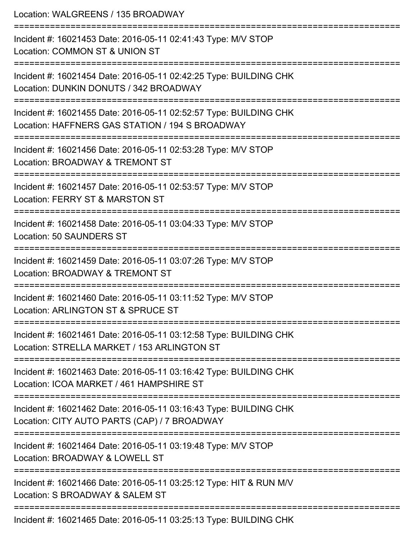Location: WALGREENS / 135 BROADWAY =========================================================================== Incident #: 16021453 Date: 2016-05-11 02:41:43 Type: M/V STOP Location: COMMON ST & UNION ST =========================================================================== Incident #: 16021454 Date: 2016-05-11 02:42:25 Type: BUILDING CHK Location: DUNKIN DONUTS / 342 BROADWAY =========================================================================== Incident #: 16021455 Date: 2016-05-11 02:52:57 Type: BUILDING CHK Location: HAFFNERS GAS STATION / 194 S BROADWAY =========================================================================== Incident #: 16021456 Date: 2016-05-11 02:53:28 Type: M/V STOP Location: BROADWAY & TREMONT ST =========================================================================== Incident #: 16021457 Date: 2016-05-11 02:53:57 Type: M/V STOP Location: FERRY ST & MARSTON ST =========================================================================== Incident #: 16021458 Date: 2016-05-11 03:04:33 Type: M/V STOP Location: 50 SAUNDERS ST =========================================================================== Incident #: 16021459 Date: 2016-05-11 03:07:26 Type: M/V STOP Location: BROADWAY & TREMONT ST =========================================================================== Incident #: 16021460 Date: 2016-05-11 03:11:52 Type: M/V STOP Location: ARLINGTON ST & SPRUCE ST =========================================================================== Incident #: 16021461 Date: 2016-05-11 03:12:58 Type: BUILDING CHK Location: STRELLA MARKET / 153 ARLINGTON ST =========================================================================== Incident #: 16021463 Date: 2016-05-11 03:16:42 Type: BUILDING CHK Location: ICOA MARKET / 461 HAMPSHIRE ST =========================================================================== Incident #: 16021462 Date: 2016-05-11 03:16:43 Type: BUILDING CHK Location: CITY AUTO PARTS (CAP) / 7 BROADWAY =========================================================================== Incident #: 16021464 Date: 2016-05-11 03:19:48 Type: M/V STOP Location: BROADWAY & LOWELL ST =========================================================================== Incident #: 16021466 Date: 2016-05-11 03:25:12 Type: HIT & RUN M/V Location: S BROADWAY & SALEM ST =========================================================================== Incident #: 16021465 Date: 2016-05-11 03:25:13 Type: BUILDING CHK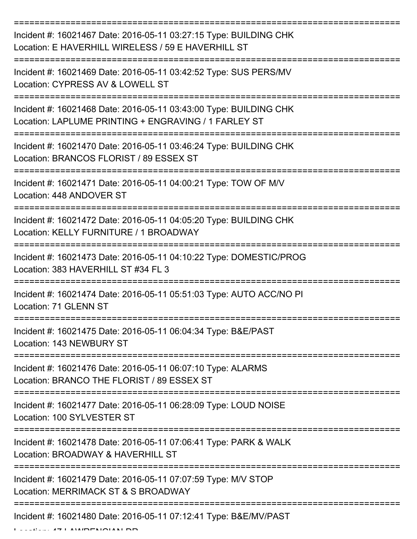| Incident #: 16021467 Date: 2016-05-11 03:27:15 Type: BUILDING CHK<br>Location: E HAVERHILL WIRELESS / 59 E HAVERHILL ST   |
|---------------------------------------------------------------------------------------------------------------------------|
| Incident #: 16021469 Date: 2016-05-11 03:42:52 Type: SUS PERS/MV<br>Location: CYPRESS AV & LOWELL ST                      |
| Incident #: 16021468 Date: 2016-05-11 03:43:00 Type: BUILDING CHK<br>Location: LAPLUME PRINTING + ENGRAVING / 1 FARLEY ST |
| Incident #: 16021470 Date: 2016-05-11 03:46:24 Type: BUILDING CHK<br>Location: BRANCOS FLORIST / 89 ESSEX ST              |
| Incident #: 16021471 Date: 2016-05-11 04:00:21 Type: TOW OF M/V<br>Location: 448 ANDOVER ST                               |
| Incident #: 16021472 Date: 2016-05-11 04:05:20 Type: BUILDING CHK<br>Location: KELLY FURNITURE / 1 BROADWAY               |
| Incident #: 16021473 Date: 2016-05-11 04:10:22 Type: DOMESTIC/PROG<br>Location: 383 HAVERHILL ST #34 FL 3                 |
| Incident #: 16021474 Date: 2016-05-11 05:51:03 Type: AUTO ACC/NO PI<br>Location: 71 GLENN ST                              |
| Incident #: 16021475 Date: 2016-05-11 06:04:34 Type: B&E/PAST<br>Location: 143 NEWBURY ST                                 |
| Incident #: 16021476 Date: 2016-05-11 06:07:10 Type: ALARMS<br>Location: BRANCO THE FLORIST / 89 ESSEX ST                 |
| Incident #: 16021477 Date: 2016-05-11 06:28:09 Type: LOUD NOISE<br>Location: 100 SYLVESTER ST                             |
| Incident #: 16021478 Date: 2016-05-11 07:06:41 Type: PARK & WALK<br>Location: BROADWAY & HAVERHILL ST                     |
| Incident #: 16021479 Date: 2016-05-11 07:07:59 Type: M/V STOP<br>Location: MERRIMACK ST & S BROADWAY                      |
| Incident #: 16021480 Date: 2016-05-11 07:12:41 Type: B&E/MV/PAST                                                          |

Location: 47 LAWRENCIAN DR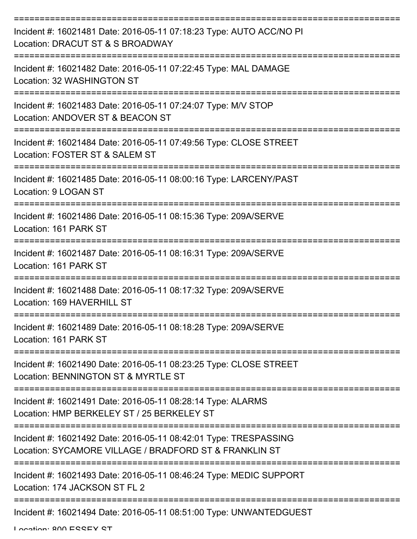| Incident #: 16021481 Date: 2016-05-11 07:18:23 Type: AUTO ACC/NO PI<br>Location: DRACUT ST & S BROADWAY                    |
|----------------------------------------------------------------------------------------------------------------------------|
| Incident #: 16021482 Date: 2016-05-11 07:22:45 Type: MAL DAMAGE<br>Location: 32 WASHINGTON ST                              |
| Incident #: 16021483 Date: 2016-05-11 07:24:07 Type: M/V STOP<br>Location: ANDOVER ST & BEACON ST                          |
| Incident #: 16021484 Date: 2016-05-11 07:49:56 Type: CLOSE STREET<br>Location: FOSTER ST & SALEM ST                        |
| Incident #: 16021485 Date: 2016-05-11 08:00:16 Type: LARCENY/PAST<br>Location: 9 LOGAN ST                                  |
| Incident #: 16021486 Date: 2016-05-11 08:15:36 Type: 209A/SERVE<br>Location: 161 PARK ST<br>--------------------           |
| ,_____________<br>Incident #: 16021487 Date: 2016-05-11 08:16:31 Type: 209A/SERVE<br>Location: 161 PARK ST                 |
| Incident #: 16021488 Date: 2016-05-11 08:17:32 Type: 209A/SERVE<br>Location: 169 HAVERHILL ST                              |
| Incident #: 16021489 Date: 2016-05-11 08:18:28 Type: 209A/SERVE<br>Location: 161 PARK ST                                   |
| Incident #: 16021490 Date: 2016-05-11 08:23:25 Type: CLOSE STREET<br>Location: BENNINGTON ST & MYRTLE ST                   |
| Incident #: 16021491 Date: 2016-05-11 08:28:14 Type: ALARMS<br>Location: HMP BERKELEY ST / 25 BERKELEY ST                  |
| Incident #: 16021492 Date: 2016-05-11 08:42:01 Type: TRESPASSING<br>Location: SYCAMORE VILLAGE / BRADFORD ST & FRANKLIN ST |
| Incident #: 16021493 Date: 2016-05-11 08:46:24 Type: MEDIC SUPPORT<br>Location: 174 JACKSON ST FL 2                        |
| Incident #: 16021494 Date: 2016-05-11 08:51:00 Type: UNWANTEDGUEST                                                         |

Location: 200 ESSEY ST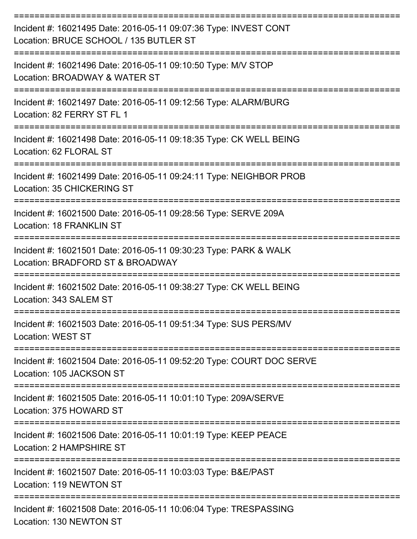| Incident #: 16021495 Date: 2016-05-11 09:07:36 Type: INVEST CONT<br>Location: BRUCE SCHOOL / 135 BUTLER ST              |
|-------------------------------------------------------------------------------------------------------------------------|
| Incident #: 16021496 Date: 2016-05-11 09:10:50 Type: M/V STOP<br>Location: BROADWAY & WATER ST                          |
| Incident #: 16021497 Date: 2016-05-11 09:12:56 Type: ALARM/BURG<br>Location: 82 FERRY ST FL 1                           |
| Incident #: 16021498 Date: 2016-05-11 09:18:35 Type: CK WELL BEING<br>Location: 62 FLORAL ST                            |
| Incident #: 16021499 Date: 2016-05-11 09:24:11 Type: NEIGHBOR PROB<br>Location: 35 CHICKERING ST                        |
| Incident #: 16021500 Date: 2016-05-11 09:28:56 Type: SERVE 209A<br><b>Location: 18 FRANKLIN ST</b>                      |
| Incident #: 16021501 Date: 2016-05-11 09:30:23 Type: PARK & WALK<br>Location: BRADFORD ST & BROADWAY                    |
| Incident #: 16021502 Date: 2016-05-11 09:38:27 Type: CK WELL BEING<br>Location: 343 SALEM ST                            |
| Incident #: 16021503 Date: 2016-05-11 09:51:34 Type: SUS PERS/MV<br><b>Location: WEST ST</b>                            |
| ===================<br>Incident #: 16021504 Date: 2016-05-11 09:52:20 Type: COURT DOC SERVE<br>Location: 105 JACKSON ST |
| Incident #: 16021505 Date: 2016-05-11 10:01:10 Type: 209A/SERVE<br>Location: 375 HOWARD ST                              |
| Incident #: 16021506 Date: 2016-05-11 10:01:19 Type: KEEP PEACE<br>Location: 2 HAMPSHIRE ST                             |
| Incident #: 16021507 Date: 2016-05-11 10:03:03 Type: B&E/PAST<br>Location: 119 NEWTON ST                                |
| Incident #: 16021508 Date: 2016-05-11 10:06:04 Type: TRESPASSING<br>Location: 130 NEWTON ST                             |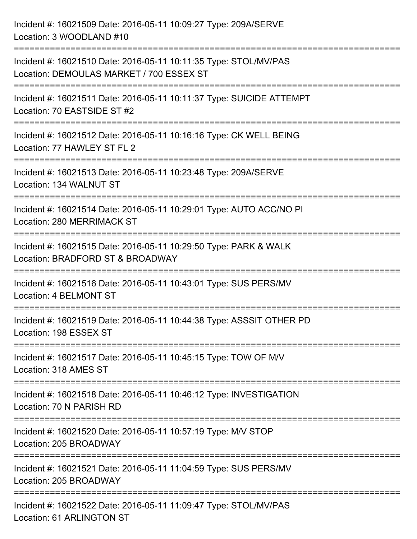| Incident #: 16021509 Date: 2016-05-11 10:09:27 Type: 209A/SERVE<br>Location: 3 WOODLAND #10                    |
|----------------------------------------------------------------------------------------------------------------|
| Incident #: 16021510 Date: 2016-05-11 10:11:35 Type: STOL/MV/PAS<br>Location: DEMOULAS MARKET / 700 ESSEX ST   |
| Incident #: 16021511 Date: 2016-05-11 10:11:37 Type: SUICIDE ATTEMPT<br>Location: 70 EASTSIDE ST #2            |
| Incident #: 16021512 Date: 2016-05-11 10:16:16 Type: CK WELL BEING<br>Location: 77 HAWLEY ST FL 2              |
| Incident #: 16021513 Date: 2016-05-11 10:23:48 Type: 209A/SERVE<br>Location: 134 WALNUT ST                     |
| Incident #: 16021514 Date: 2016-05-11 10:29:01 Type: AUTO ACC/NO PI<br>Location: 280 MERRIMACK ST              |
| Incident #: 16021515 Date: 2016-05-11 10:29:50 Type: PARK & WALK<br>Location: BRADFORD ST & BROADWAY           |
| :===============<br>Incident #: 16021516 Date: 2016-05-11 10:43:01 Type: SUS PERS/MV<br>Location: 4 BELMONT ST |
| Incident #: 16021519 Date: 2016-05-11 10:44:38 Type: ASSSIT OTHER PD<br>Location: 198 ESSEX ST                 |
| ===============<br>Incident #: 16021517 Date: 2016-05-11 10:45:15 Type: TOW OF M/V<br>Location: 318 AMES ST    |
| Incident #: 16021518 Date: 2016-05-11 10:46:12 Type: INVESTIGATION<br>Location: 70 N PARISH RD                 |
| Incident #: 16021520 Date: 2016-05-11 10:57:19 Type: M/V STOP<br>Location: 205 BROADWAY                        |
| Incident #: 16021521 Date: 2016-05-11 11:04:59 Type: SUS PERS/MV<br>Location: 205 BROADWAY                     |
| Incident #: 16021522 Date: 2016-05-11 11:09:47 Type: STOL/MV/PAS<br>Location: 61 ARLINGTON ST                  |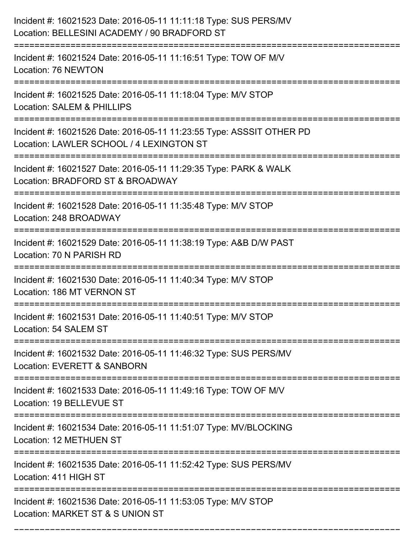| Incident #: 16021523 Date: 2016-05-11 11:11:18 Type: SUS PERS/MV<br>Location: BELLESINI ACADEMY / 90 BRADFORD ST                |
|---------------------------------------------------------------------------------------------------------------------------------|
| Incident #: 16021524 Date: 2016-05-11 11:16:51 Type: TOW OF M/V<br>Location: 76 NEWTON                                          |
| Incident #: 16021525 Date: 2016-05-11 11:18:04 Type: M/V STOP<br><b>Location: SALEM &amp; PHILLIPS</b>                          |
| Incident #: 16021526 Date: 2016-05-11 11:23:55 Type: ASSSIT OTHER PD<br>Location: LAWLER SCHOOL / 4 LEXINGTON ST                |
| Incident #: 16021527 Date: 2016-05-11 11:29:35 Type: PARK & WALK<br>Location: BRADFORD ST & BROADWAY<br>:====================== |
| Incident #: 16021528 Date: 2016-05-11 11:35:48 Type: M/V STOP<br>Location: 248 BROADWAY                                         |
| Incident #: 16021529 Date: 2016-05-11 11:38:19 Type: A&B D/W PAST<br>Location: 70 N PARISH RD                                   |
| Incident #: 16021530 Date: 2016-05-11 11:40:34 Type: M/V STOP<br>Location: 186 MT VERNON ST                                     |
| Incident #: 16021531 Date: 2016-05-11 11:40:51 Type: M/V STOP<br>Location: 54 SALEM ST                                          |
| Incident #: 16021532 Date: 2016-05-11 11:46:32 Type: SUS PERS/MV<br>Location: EVERETT & SANBORN                                 |
| Incident #: 16021533 Date: 2016-05-11 11:49:16 Type: TOW OF M/V<br>Location: 19 BELLEVUE ST                                     |
| Incident #: 16021534 Date: 2016-05-11 11:51:07 Type: MV/BLOCKING<br><b>Location: 12 METHUEN ST</b>                              |
| ============================<br>Incident #: 16021535 Date: 2016-05-11 11:52:42 Type: SUS PERS/MV<br>Location: 411 HIGH ST       |
| Incident #: 16021536 Date: 2016-05-11 11:53:05 Type: M/V STOP<br>Location: MARKET ST & S UNION ST                               |

===========================================================================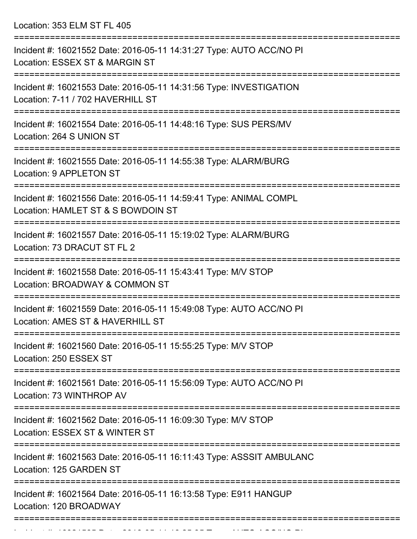Location: 353 ELM ST FL 405

| Incident #: 16021552 Date: 2016-05-11 14:31:27 Type: AUTO ACC/NO PI<br>Location: ESSEX ST & MARGIN ST                       |
|-----------------------------------------------------------------------------------------------------------------------------|
| Incident #: 16021553 Date: 2016-05-11 14:31:56 Type: INVESTIGATION<br>Location: 7-11 / 702 HAVERHILL ST                     |
| Incident #: 16021554 Date: 2016-05-11 14:48:16 Type: SUS PERS/MV<br>Location: 264 S UNION ST                                |
| Incident #: 16021555 Date: 2016-05-11 14:55:38 Type: ALARM/BURG<br>Location: 9 APPLETON ST                                  |
| Incident #: 16021556 Date: 2016-05-11 14:59:41 Type: ANIMAL COMPL<br>Location: HAMLET ST & S BOWDOIN ST                     |
| Incident #: 16021557 Date: 2016-05-11 15:19:02 Type: ALARM/BURG<br>Location: 73 DRACUT ST FL 2                              |
| Incident #: 16021558 Date: 2016-05-11 15:43:41 Type: M/V STOP<br>Location: BROADWAY & COMMON ST                             |
| Incident #: 16021559 Date: 2016-05-11 15:49:08 Type: AUTO ACC/NO PI<br>Location: AMES ST & HAVERHILL ST                     |
| Incident #: 16021560 Date: 2016-05-11 15:55:25 Type: M/V STOP<br>Location: 250 ESSEX ST                                     |
| ========================<br>Incident #: 16021561 Date: 2016-05-11 15:56:09 Type: AUTO ACC/NO PI<br>Location: 73 WINTHROP AV |
| Incident #: 16021562 Date: 2016-05-11 16:09:30 Type: M/V STOP<br>Location: ESSEX ST & WINTER ST                             |
| Incident #: 16021563 Date: 2016-05-11 16:11:43 Type: ASSSIT AMBULANC<br>Location: 125 GARDEN ST                             |
| Incident #: 16021564 Date: 2016-05-11 16:13:58 Type: E911 HANGUP<br>Location: 120 BROADWAY                                  |
|                                                                                                                             |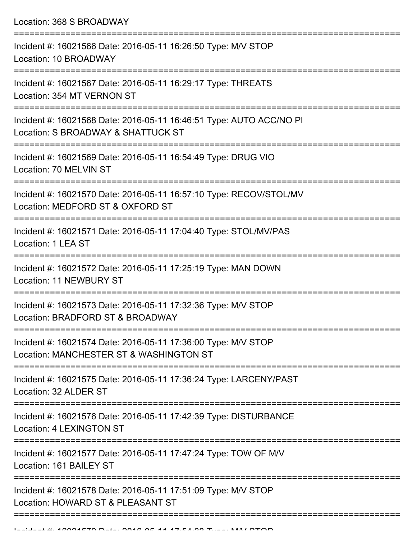Location: 368 S BROADWAY

| Incident #: 16021566 Date: 2016-05-11 16:26:50 Type: M/V STOP<br>Location: 10 BROADWAY                    |
|-----------------------------------------------------------------------------------------------------------|
| Incident #: 16021567 Date: 2016-05-11 16:29:17 Type: THREATS<br>Location: 354 MT VERNON ST                |
| Incident #: 16021568 Date: 2016-05-11 16:46:51 Type: AUTO ACC/NO PI<br>Location: S BROADWAY & SHATTUCK ST |
| Incident #: 16021569 Date: 2016-05-11 16:54:49 Type: DRUG VIO<br>Location: 70 MELVIN ST                   |
| Incident #: 16021570 Date: 2016-05-11 16:57:10 Type: RECOV/STOL/MV<br>Location: MEDFORD ST & OXFORD ST    |
| Incident #: 16021571 Date: 2016-05-11 17:04:40 Type: STOL/MV/PAS<br>Location: 1 LEA ST                    |
| Incident #: 16021572 Date: 2016-05-11 17:25:19 Type: MAN DOWN<br><b>Location: 11 NEWBURY ST</b>           |
| Incident #: 16021573 Date: 2016-05-11 17:32:36 Type: M/V STOP<br>Location: BRADFORD ST & BROADWAY         |
| Incident #: 16021574 Date: 2016-05-11 17:36:00 Type: M/V STOP<br>Location: MANCHESTER ST & WASHINGTON ST  |
| Incident #: 16021575 Date: 2016-05-11 17:36:24 Type: LARCENY/PAST<br>Location: 32 ALDER ST                |
| Incident #: 16021576 Date: 2016-05-11 17:42:39 Type: DISTURBANCE<br>Location: 4 LEXINGTON ST              |
| Incident #: 16021577 Date: 2016-05-11 17:47:24 Type: TOW OF M/V<br>Location: 161 BAILEY ST                |
| Incident #: 16021578 Date: 2016-05-11 17:51:09 Type: M/V STOP<br>Location: HOWARD ST & PLEASANT ST        |
|                                                                                                           |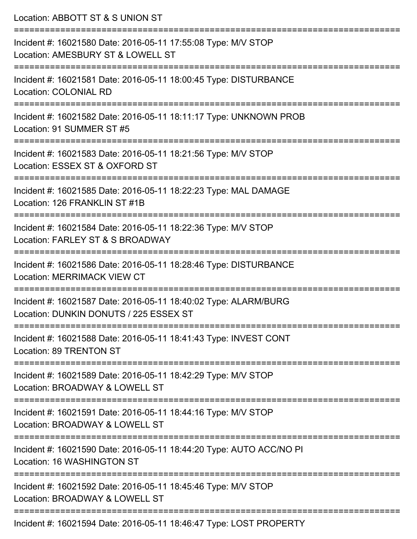| Location: ABBOTT ST & S UNION ST                                                                                             |
|------------------------------------------------------------------------------------------------------------------------------|
| Incident #: 16021580 Date: 2016-05-11 17:55:08 Type: M/V STOP<br>Location: AMESBURY ST & LOWELL ST<br>:====================  |
| Incident #: 16021581 Date: 2016-05-11 18:00:45 Type: DISTURBANCE<br><b>Location: COLONIAL RD</b>                             |
| Incident #: 16021582 Date: 2016-05-11 18:11:17 Type: UNKNOWN PROB<br>Location: 91 SUMMER ST #5                               |
| Incident #: 16021583 Date: 2016-05-11 18:21:56 Type: M/V STOP<br>Location: ESSEX ST & OXFORD ST                              |
| Incident #: 16021585 Date: 2016-05-11 18:22:23 Type: MAL DAMAGE<br>Location: 126 FRANKLIN ST #1B                             |
| ,======================<br>Incident #: 16021584 Date: 2016-05-11 18:22:36 Type: M/V STOP<br>Location: FARLEY ST & S BROADWAY |
| Incident #: 16021586 Date: 2016-05-11 18:28:46 Type: DISTURBANCE<br><b>Location: MERRIMACK VIEW CT</b>                       |
| Incident #: 16021587 Date: 2016-05-11 18:40:02 Type: ALARM/BURG<br>Location: DUNKIN DONUTS / 225 ESSEX ST                    |
| Incident #: 16021588 Date: 2016-05-11 18:41:43 Type: INVEST CONT<br>Location: 89 TRENTON ST                                  |
| Incident #: 16021589 Date: 2016-05-11 18:42:29 Type: M/V STOP<br>Location: BROADWAY & LOWELL ST                              |
| Incident #: 16021591 Date: 2016-05-11 18:44:16 Type: M/V STOP<br>Location: BROADWAY & LOWELL ST                              |
| Incident #: 16021590 Date: 2016-05-11 18:44:20 Type: AUTO ACC/NO PI<br>Location: 16 WASHINGTON ST                            |
| Incident #: 16021592 Date: 2016-05-11 18:45:46 Type: M/V STOP<br>Location: BROADWAY & LOWELL ST                              |
| Incident #: 16021594 Date: 2016-05-11 18:46:47 Type: LOST PROPERTY                                                           |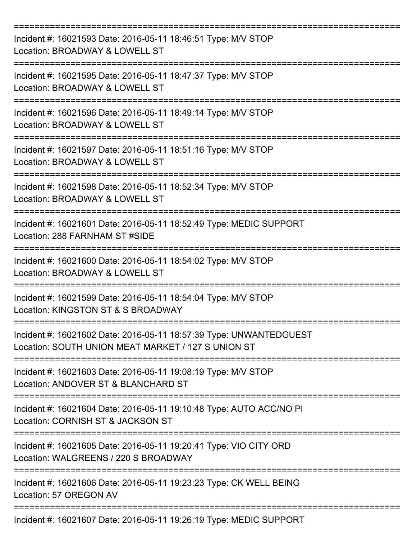| Incident #: 16021593 Date: 2016-05-11 18:46:51 Type: M/V STOP<br>Location: BROADWAY & LOWELL ST                          |
|--------------------------------------------------------------------------------------------------------------------------|
| Incident #: 16021595 Date: 2016-05-11 18:47:37 Type: M/V STOP<br>Location: BROADWAY & LOWELL ST                          |
| Incident #: 16021596 Date: 2016-05-11 18:49:14 Type: M/V STOP<br>Location: BROADWAY & LOWELL ST                          |
| Incident #: 16021597 Date: 2016-05-11 18:51:16 Type: M/V STOP<br>Location: BROADWAY & LOWELL ST                          |
| Incident #: 16021598 Date: 2016-05-11 18:52:34 Type: M/V STOP<br>Location: BROADWAY & LOWELL ST                          |
| Incident #: 16021601 Date: 2016-05-11 18:52:49 Type: MEDIC SUPPORT<br>Location: 288 FARNHAM ST #SIDE                     |
| Incident #: 16021600 Date: 2016-05-11 18:54:02 Type: M/V STOP<br>Location: BROADWAY & LOWELL ST                          |
| Incident #: 16021599 Date: 2016-05-11 18:54:04 Type: M/V STOP<br>Location: KINGSTON ST & S BROADWAY                      |
| Incident #: 16021602 Date: 2016-05-11 18:57:39 Type: UNWANTEDGUEST<br>Location: SOUTH UNION MEAT MARKET / 127 S UNION ST |
| Incident #: 16021603 Date: 2016-05-11 19:08:19 Type: M/V STOP<br>Location: ANDOVER ST & BLANCHARD ST                     |
| Incident #: 16021604 Date: 2016-05-11 19:10:48 Type: AUTO ACC/NO PI<br>Location: CORNISH ST & JACKSON ST                 |
| Incident #: 16021605 Date: 2016-05-11 19:20:41 Type: VIO CITY ORD<br>Location: WALGREENS / 220 S BROADWAY                |
| Incident #: 16021606 Date: 2016-05-11 19:23:23 Type: CK WELL BEING<br>Location: 57 OREGON AV                             |
| Incident #: 16021607 Date: 2016-05-11 19:26:19 Type: MEDIC SUPPORT                                                       |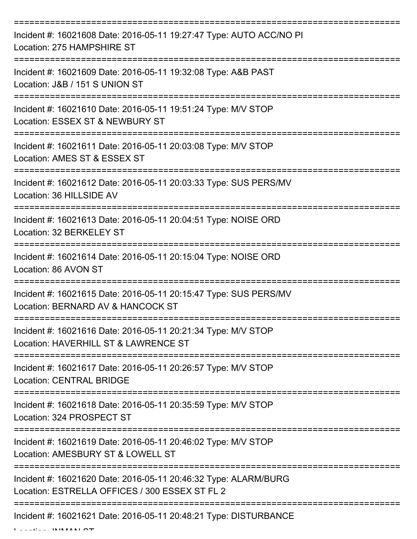| Incident #: 16021608 Date: 2016-05-11 19:27:47 Type: AUTO ACC/NO PI<br>Location: 275 HAMPSHIRE ST                                                                                                                                                                                                                                                                                                      |
|--------------------------------------------------------------------------------------------------------------------------------------------------------------------------------------------------------------------------------------------------------------------------------------------------------------------------------------------------------------------------------------------------------|
| Incident #: 16021609 Date: 2016-05-11 19:32:08 Type: A&B PAST<br>Location: J&B / 151 S UNION ST                                                                                                                                                                                                                                                                                                        |
| Incident #: 16021610 Date: 2016-05-11 19:51:24 Type: M/V STOP<br>Location: ESSEX ST & NEWBURY ST                                                                                                                                                                                                                                                                                                       |
| Incident #: 16021611 Date: 2016-05-11 20:03:08 Type: M/V STOP<br>Location: AMES ST & ESSEX ST                                                                                                                                                                                                                                                                                                          |
| Incident #: 16021612 Date: 2016-05-11 20:03:33 Type: SUS PERS/MV<br>Location: 36 HILLSIDE AV                                                                                                                                                                                                                                                                                                           |
| Incident #: 16021613 Date: 2016-05-11 20:04:51 Type: NOISE ORD<br>Location: 32 BERKELEY ST                                                                                                                                                                                                                                                                                                             |
| Incident #: 16021614 Date: 2016-05-11 20:15:04 Type: NOISE ORD<br>Location: 86 AVON ST                                                                                                                                                                                                                                                                                                                 |
| ============<br>Incident #: 16021615 Date: 2016-05-11 20:15:47 Type: SUS PERS/MV<br>Location: BERNARD AV & HANCOCK ST                                                                                                                                                                                                                                                                                  |
| Incident #: 16021616 Date: 2016-05-11 20:21:34 Type: M/V STOP<br>Location: HAVERHILL ST & LAWRENCE ST                                                                                                                                                                                                                                                                                                  |
| Incident #: 16021617 Date: 2016-05-11 20:26:57 Type: M/V STOP<br><b>Location: CENTRAL BRIDGE</b>                                                                                                                                                                                                                                                                                                       |
| Incident #: 16021618 Date: 2016-05-11 20:35:59 Type: M/V STOP<br>Location: 324 PROSPECT ST                                                                                                                                                                                                                                                                                                             |
| Incident #: 16021619 Date: 2016-05-11 20:46:02 Type: M/V STOP<br>Location: AMESBURY ST & LOWELL ST                                                                                                                                                                                                                                                                                                     |
| Incident #: 16021620 Date: 2016-05-11 20:46:32 Type: ALARM/BURG<br>Location: ESTRELLA OFFICES / 300 ESSEX ST FL 2                                                                                                                                                                                                                                                                                      |
| Incident #: 16021621 Date: 2016-05-11 20:48:21 Type: DISTURBANCE<br>$\mathbf{I}$ $\mathbf{I}$ $\mathbf{I}$ $\mathbf{I}$ $\mathbf{I}$ $\mathbf{I}$ $\mathbf{I}$ $\mathbf{I}$ $\mathbf{I}$ $\mathbf{I}$ $\mathbf{A}$ $\mathbf{I}$ $\mathbf{I}$ $\mathbf{I}$ $\mathbf{I}$ $\mathbf{I}$ $\mathbf{I}$ $\mathbf{I}$ $\mathbf{I}$ $\mathbf{I}$ $\mathbf{I}$ $\mathbf{I}$ $\mathbf{I}$ $\mathbf{I}$ $\mathbf{$ |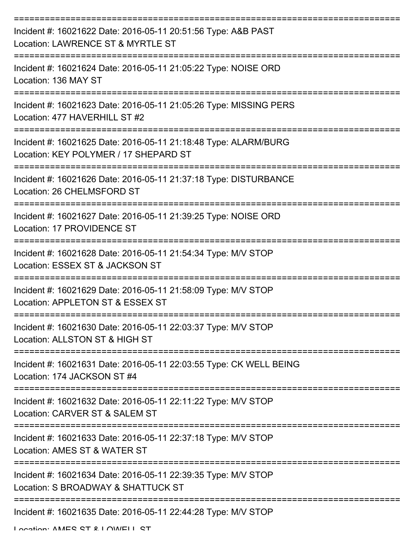| Incident #: 16021622 Date: 2016-05-11 20:51:56 Type: A&B PAST<br>Location: LAWRENCE ST & MYRTLE ST                 |
|--------------------------------------------------------------------------------------------------------------------|
| Incident #: 16021624 Date: 2016-05-11 21:05:22 Type: NOISE ORD<br>Location: 136 MAY ST                             |
| Incident #: 16021623 Date: 2016-05-11 21:05:26 Type: MISSING PERS<br>Location: 477 HAVERHILL ST #2                 |
| Incident #: 16021625 Date: 2016-05-11 21:18:48 Type: ALARM/BURG<br>Location: KEY POLYMER / 17 SHEPARD ST           |
| Incident #: 16021626 Date: 2016-05-11 21:37:18 Type: DISTURBANCE<br>Location: 26 CHELMSFORD ST                     |
| Incident #: 16021627 Date: 2016-05-11 21:39:25 Type: NOISE ORD<br>Location: 17 PROVIDENCE ST                       |
| Incident #: 16021628 Date: 2016-05-11 21:54:34 Type: M/V STOP<br>Location: ESSEX ST & JACKSON ST                   |
| Incident #: 16021629 Date: 2016-05-11 21:58:09 Type: M/V STOP<br>Location: APPLETON ST & ESSEX ST                  |
| Incident #: 16021630 Date: 2016-05-11 22:03:37 Type: M/V STOP<br>Location: ALLSTON ST & HIGH ST                    |
| Incident #: 16021631 Date: 2016-05-11 22:03:55 Type: CK WELL BEING<br>Location: 174 JACKSON ST #4                  |
| Incident #: 16021632 Date: 2016-05-11 22:11:22 Type: M/V STOP<br>Location: CARVER ST & SALEM ST                    |
| -----------------<br>Incident #: 16021633 Date: 2016-05-11 22:37:18 Type: M/V STOP<br>Location: AMES ST & WATER ST |
| Incident #: 16021634 Date: 2016-05-11 22:39:35 Type: M/V STOP<br>Location: S BROADWAY & SHATTUCK ST                |
| -------------------<br>Incident #: 16021635 Date: 2016-05-11 22:44:28 Type: M/V STOP                               |